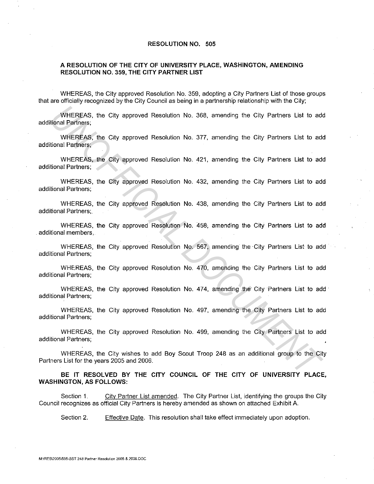## **RESOLUTION NO. 505**

## **A RESOLUTION OF THE CITY OF UNIVERSITY PLACE, WASHINGTON, AMENDING RESOLUTION NO. 359, THE CITY PARTNER LIST**

WHEREAS, the City approved Resolution No. 359, adopting a City Partners List of those groups that are officially recognized by the City Council as being in a partnership relationship with the City;

WHEREAS, the City approved Resolution No. 368, amending the City Partners List to add additional Partners;

WHEREAS, the City approved Resolution No. 377, amending the City Partners List to add additional Partners; WHEREAS, the City approved Resolution No. 368, amending the City Partners List to addional Partners.<br>
WHEREAS, the City approved Resolution No. 377, amending the City Partners List to addional Partners,<br>
WHEREAS, the City

WHEREAS, the City approved Resolution No. 421, amending the City Partners List to add additional Partners;

WHEREAS, the City approved Resolution No. 432, amending the City Partners List to add additional Partners;

WHEREAS, the City approved Resolution No. 438, amending the City Partners List to add additional Partners;.

WHEREAS, the City approved Resolution No. 458; amending the City Partners List to add additional members,

WHEREAS, the City approved Resolution No. 567, amending the City Partners List to add additional Partners;

WHEREAS, the City approved Resolution No. 470, amending the City Partners List to add additional Partners;

WHEREAS, the City approved Resolution No. 474, amending the City Partners List to add additional Partners;

WHEREAS, the City approved Resolution No. 497, amending the City Partners List to add additional Partners;

WHEREAS, the City approved Resolution No. 499, amending the City Partners List to add additional Partners;

WHEREAS, the City wishes to add Boy Scout Troop 248 as an additional group to the City Partners List for the years 2005 and 2006.

**BE IT RESOLVED BY THE CITY COUNCIL OF THE CITY OF UNIVERSITY PLACE, WASHINGTON, AS FOLLOWS:** 

Section 1. City Partner List amended. The City Partner List, identifying the groups the City Council recognizes as official City Partners is hereby amended as shown on attached Exhibit A.

Section 2. Effective Date. This resolution shall take effect immediately upon adoption.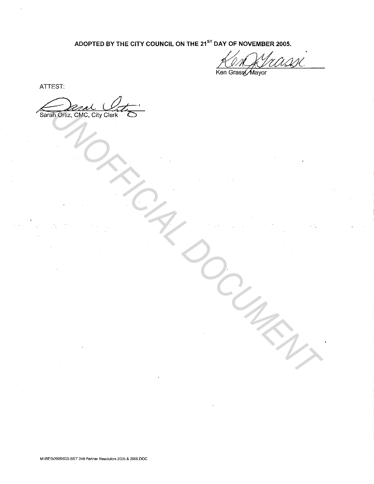ADOPTED BY THE CITY COUNCIL ON THE 21<sup>ST</sup> DAY OF NOVEMBER 2005.

Ken Grass Mayor

ATTEST:

Sarah Ortiz, CMC, City Clerk **UNICONCORRECTED ON THE MANY**